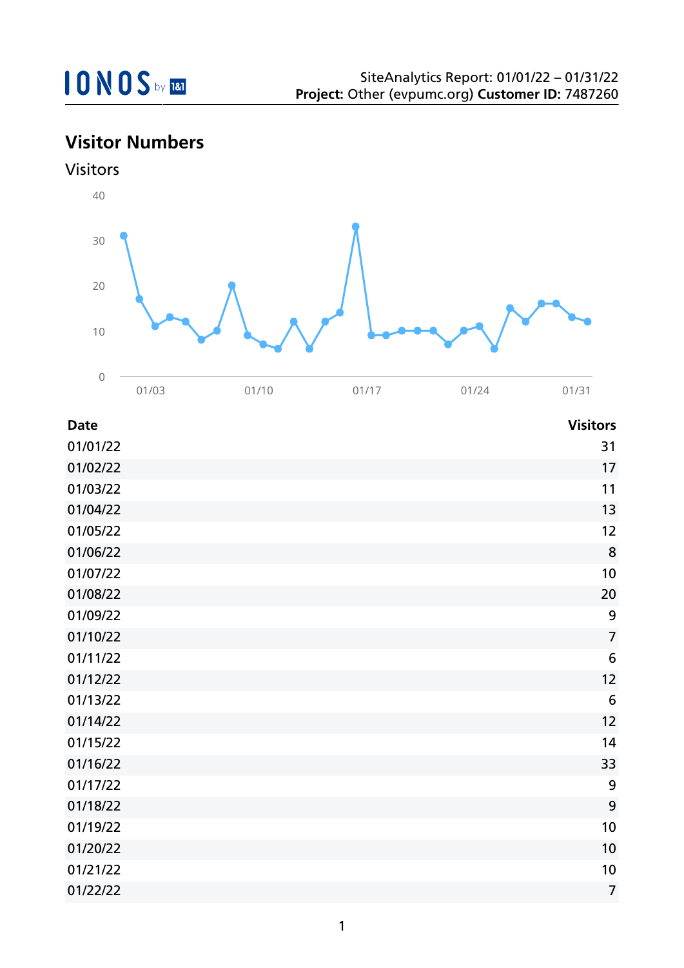## **Visitor Numbers**





| <b>Date</b> | <b>Visitors</b> |
|-------------|-----------------|
| 01/01/22    | 31              |
| 01/02/22    | 17              |
| 01/03/22    | 11              |
| 01/04/22    | 13              |
| 01/05/22    | 12              |
| 01/06/22    | 8               |
| 01/07/22    | 10              |
| 01/08/22    | 20              |
| 01/09/22    | 9               |
| 01/10/22    | $\overline{7}$  |
| 01/11/22    | $6\phantom{1}6$ |
| 01/12/22    | 12              |
| 01/13/22    | $6\phantom{1}6$ |
| 01/14/22    | 12              |
| 01/15/22    | 14              |
| 01/16/22    | 33              |
| 01/17/22    | 9               |
| 01/18/22    | 9               |
| 01/19/22    | 10              |
| 01/20/22    | 10              |
| 01/21/22    | 10              |
| 01/22/22    | $\overline{7}$  |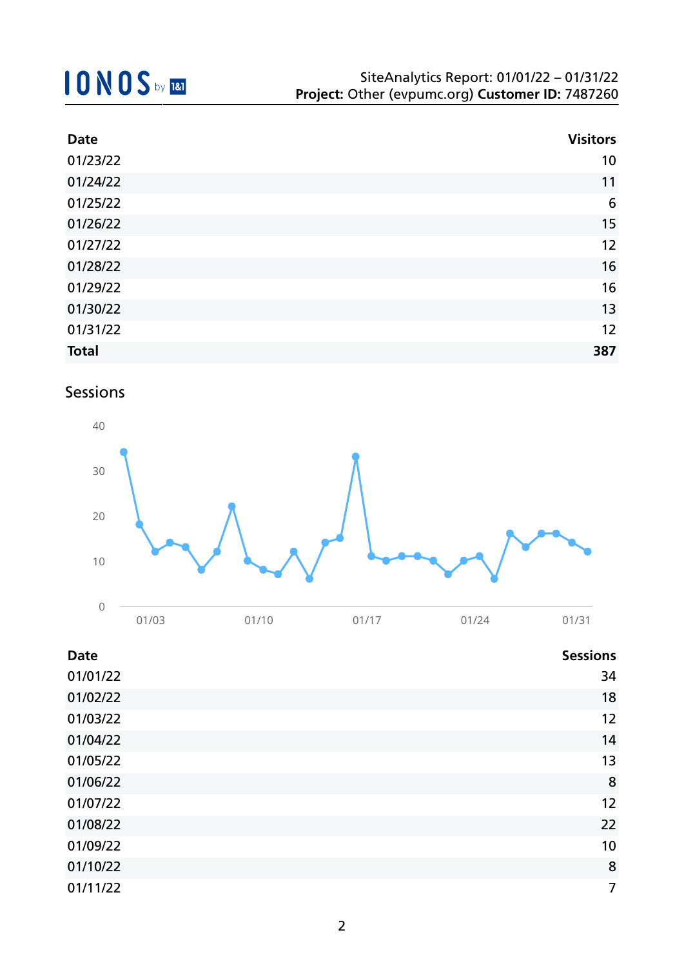| <b>Date</b>  | <b>Visitors</b> |
|--------------|-----------------|
| 01/23/22     | 10              |
| 01/24/22     | 11              |
| 01/25/22     | 6               |
| 01/26/22     | 15              |
| 01/27/22     | 12              |
| 01/28/22     | 16              |
| 01/29/22     | 16              |
| 01/30/22     | 13              |
| 01/31/22     | 12              |
| <b>Total</b> | 387             |

### Sessions



| <b>Date</b> | <b>Sessions</b> |
|-------------|-----------------|
| 01/01/22    | 34              |
| 01/02/22    | 18              |
| 01/03/22    | 12              |
| 01/04/22    | 14              |
| 01/05/22    | 13              |
| 01/06/22    | 8               |
| 01/07/22    | 12              |
| 01/08/22    | 22              |
| 01/09/22    | 10              |
| 01/10/22    | 8               |
| 01/11/22    | 7               |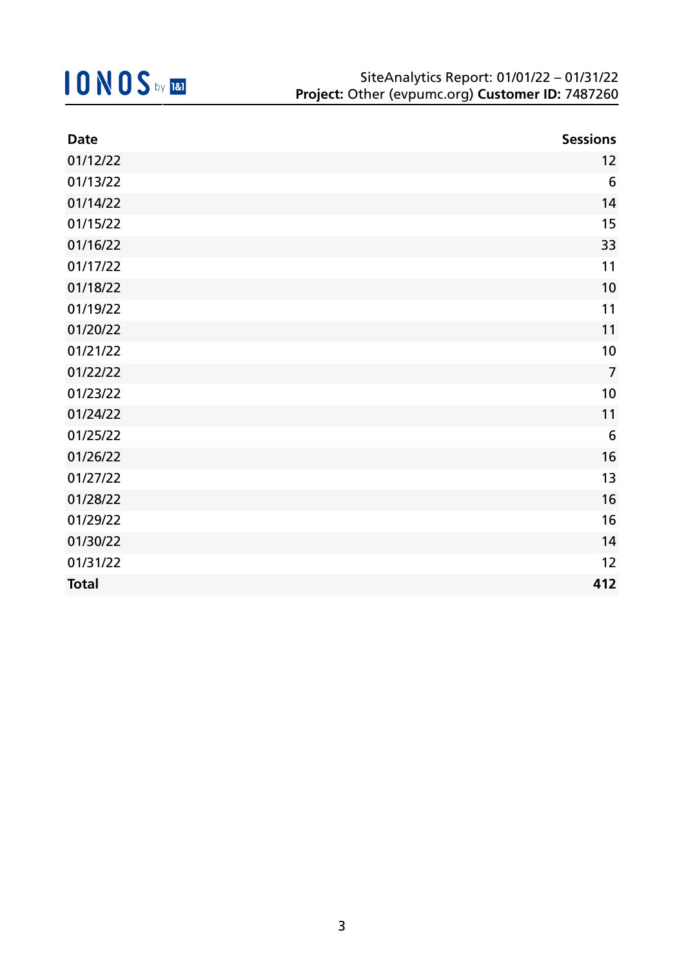| <b>Date</b>  | <b>Sessions</b> |
|--------------|-----------------|
| 01/12/22     | 12              |
| 01/13/22     | $6\phantom{1}6$ |
| 01/14/22     | 14              |
| 01/15/22     | 15              |
| 01/16/22     | 33              |
| 01/17/22     | 11              |
| 01/18/22     | 10              |
| 01/19/22     | 11              |
| 01/20/22     | 11              |
| 01/21/22     | 10              |
| 01/22/22     | $\overline{7}$  |
| 01/23/22     | 10              |
| 01/24/22     | 11              |
| 01/25/22     | $6\,$           |
| 01/26/22     | 16              |
| 01/27/22     | 13              |
| 01/28/22     | 16              |
| 01/29/22     | 16              |
| 01/30/22     | 14              |
| 01/31/22     | 12              |
| <b>Total</b> | 412             |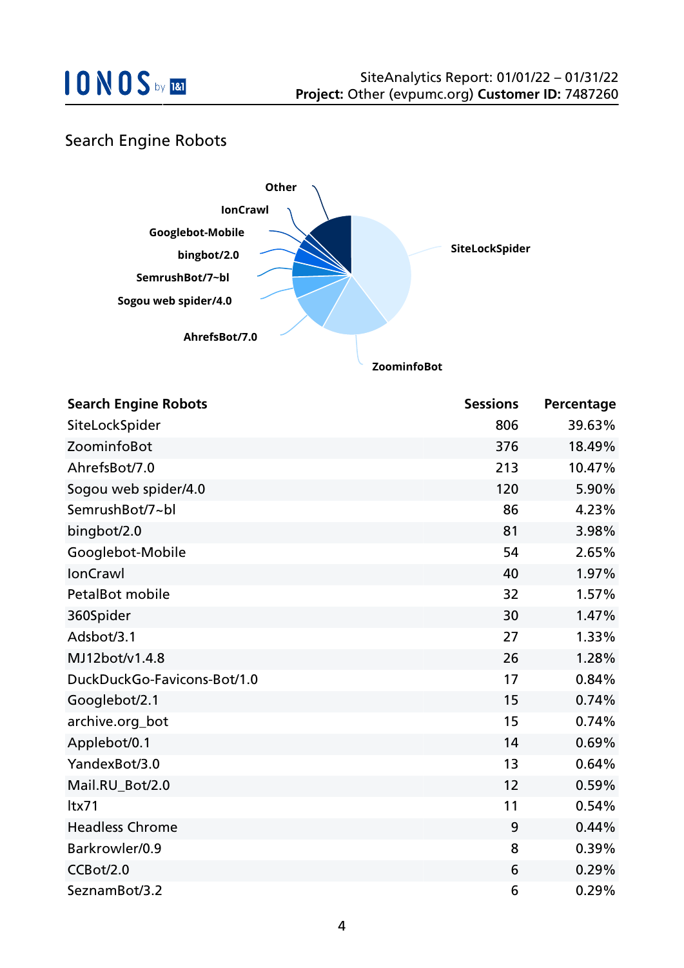### Search Engine Robots



| <b>Search Engine Robots</b> | <b>Sessions</b> | Percentage |
|-----------------------------|-----------------|------------|
| SiteLockSpider              | 806             | 39.63%     |
| ZoominfoBot                 | 376             | 18.49%     |
| AhrefsBot/7.0               | 213             | 10.47%     |
| Sogou web spider/4.0        | 120             | 5.90%      |
| SemrushBot/7~bl             | 86              | 4.23%      |
| bingbot/2.0                 | 81              | 3.98%      |
| Googlebot-Mobile            | 54              | 2.65%      |
| <b>IonCrawl</b>             | 40              | 1.97%      |
| PetalBot mobile             | 32              | 1.57%      |
| 360Spider                   | 30              | 1.47%      |
| Adsbot/3.1                  | 27              | 1.33%      |
| MJ12bot/v1.4.8              | 26              | 1.28%      |
| DuckDuckGo-Favicons-Bot/1.0 | 17              | 0.84%      |
| Googlebot/2.1               | 15              | 0.74%      |
| archive.org_bot             | 15              | 0.74%      |
| Applebot/0.1                | 14              | 0.69%      |
| YandexBot/3.0               | 13              | 0.64%      |
| Mail.RU_Bot/2.0             | 12              | 0.59%      |
| Itx71                       | 11              | 0.54%      |
| <b>Headless Chrome</b>      | 9               | 0.44%      |
| Barkrowler/0.9              | 8               | 0.39%      |
| CCBot/2.0                   | 6               | 0.29%      |
| SeznamBot/3.2               | 6               | 0.29%      |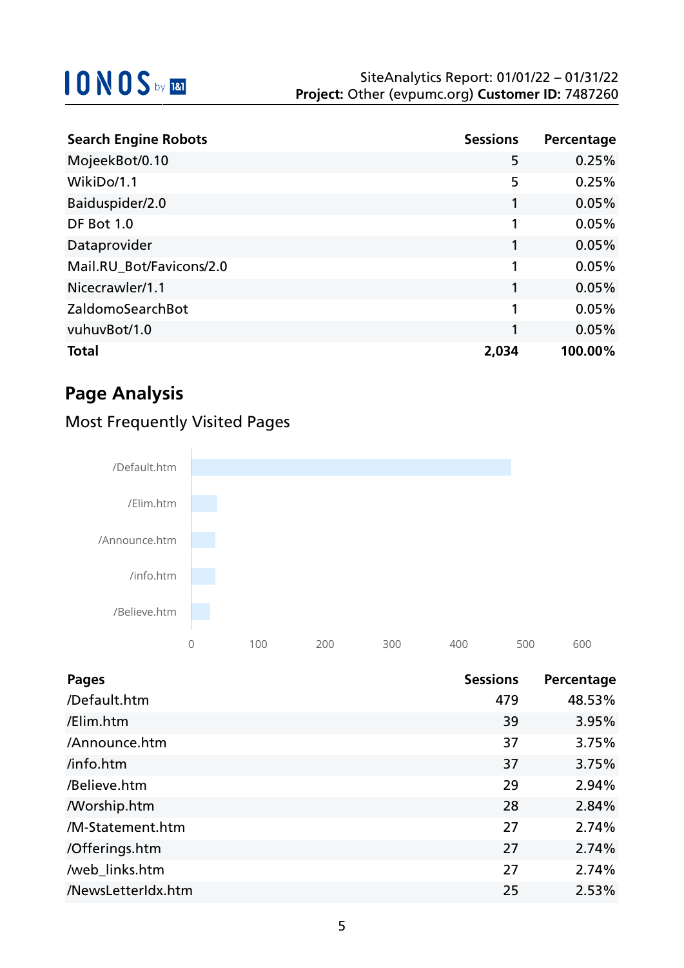| <b>Search Engine Robots</b> | <b>Sessions</b> | Percentage |
|-----------------------------|-----------------|------------|
| MojeekBot/0.10              | 5               | 0.25%      |
| WikiDo/1.1                  | 5               | 0.25%      |
| Baiduspider/2.0             | 1               | 0.05%      |
| DF Bot 1.0                  |                 | 0.05%      |
| Dataprovider                |                 | 0.05%      |
| Mail.RU_Bot/Favicons/2.0    | 1               | 0.05%      |
| Nicecrawler/1.1             |                 | 0.05%      |
| ZaldomoSearchBot            | 1               | 0.05%      |
| vuhuvBot/1.0                |                 | 0.05%      |
| <b>Total</b>                | 2,034           | 100.00%    |

## **Page Analysis**



### Most Frequently Visited Pages

| <b>Pages</b>       | <b>Sessions</b> | Percentage |
|--------------------|-----------------|------------|
| /Default.htm       | 479             | 48.53%     |
| /Elim.htm          | 39              | 3.95%      |
| /Announce.htm      | 37              | 3.75%      |
| /info.htm          | 37              | 3.75%      |
| /Believe.htm       | 29              | 2.94%      |
| <b>Morship.htm</b> | 28              | 2.84%      |
| /M-Statement.htm   | 27              | 2.74%      |
| /Offerings.htm     | 27              | 2.74%      |
| /web_links.htm     | 27              | 2.74%      |
| /NewsLetterIdx.htm | 25              | 2.53%      |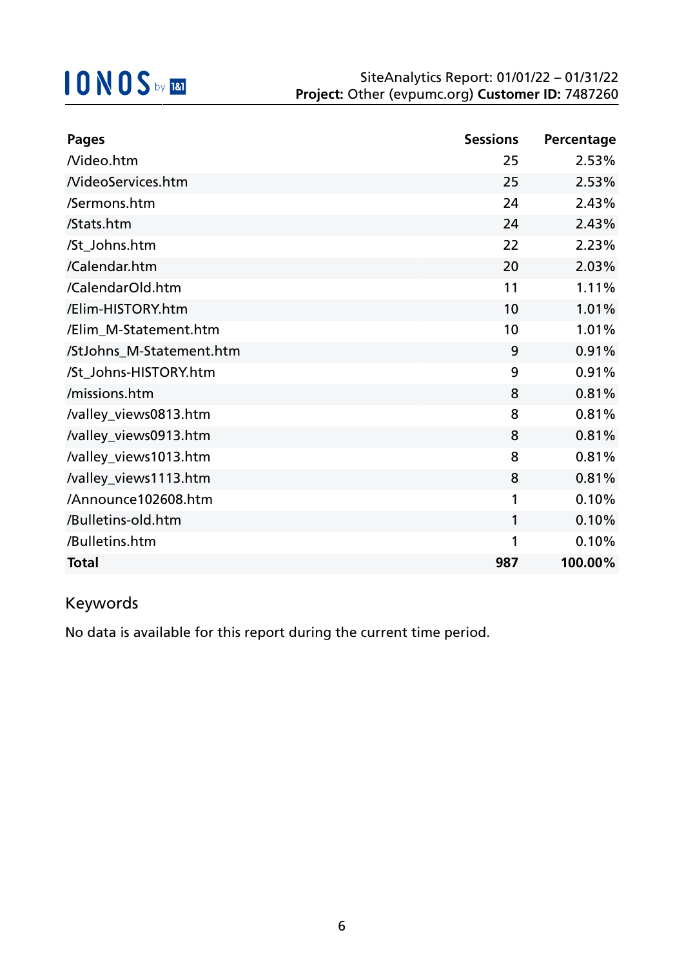| <b>Pages</b>             | <b>Sessions</b> | Percentage |
|--------------------------|-----------------|------------|
| Nideo.htm                | 25              | 2.53%      |
| <b>NideoServices.htm</b> | 25              | 2.53%      |
| /Sermons.htm             | 24              | 2.43%      |
| /Stats.htm               | 24              | 2.43%      |
| /St_Johns.htm            | 22              | 2.23%      |
| /Calendar.htm            | 20              | 2.03%      |
| /CalendarOld.htm         | 11              | 1.11%      |
| /Elim-HISTORY.htm        | 10              | 1.01%      |
| /Elim_M-Statement.htm    | 10              | 1.01%      |
| /StJohns_M-Statement.htm | 9               | 0.91%      |
| /St_Johns-HISTORY.htm    | 9               | 0.91%      |
| /missions.htm            | 8               | 0.81%      |
| /valley_views0813.htm    | 8               | 0.81%      |
| /valley_views0913.htm    | 8               | 0.81%      |
| /valley_views1013.htm    | 8               | 0.81%      |
| /valley_views1113.htm    | 8               | 0.81%      |
| /Announce102608.htm      | 1               | 0.10%      |
| /Bulletins-old.htm       | 1               | 0.10%      |
| /Bulletins.htm           | 1               | 0.10%      |
| <b>Total</b>             | 987             | 100.00%    |

## Keywords

No data is available for this report during the current time period.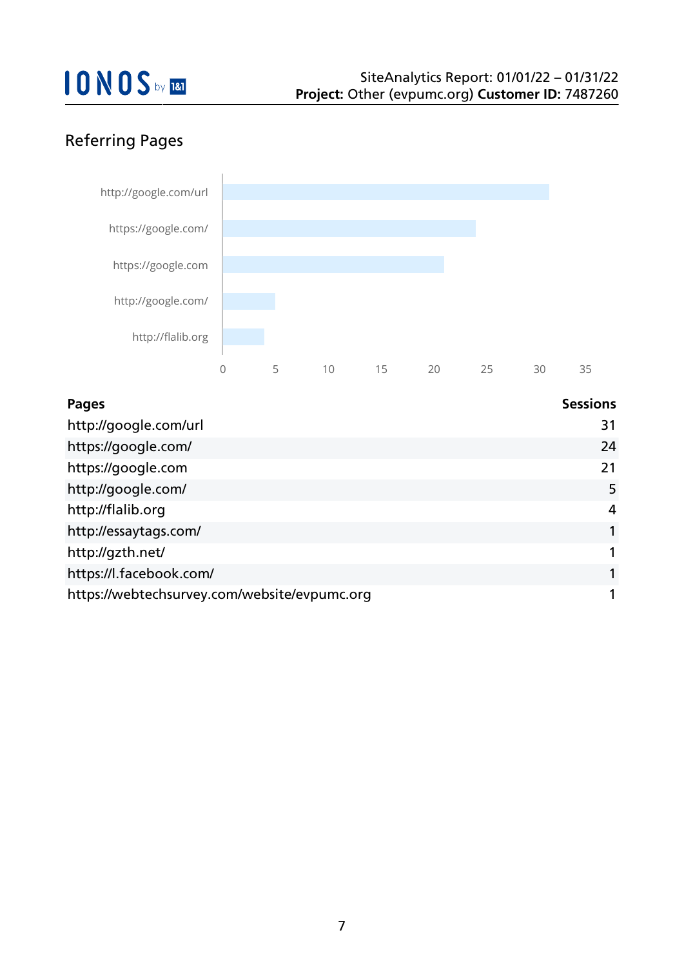## Referring Pages



| <b>Pages</b>                                 | <b>Sessions</b> |
|----------------------------------------------|-----------------|
| http://google.com/url                        | 31              |
| https://google.com/                          | 24              |
| https://google.com                           | 21              |
| http://google.com/                           | 5               |
| http://flalib.org                            | 4               |
| http://essaytags.com/                        |                 |
| http://gzth.net/                             |                 |
| https://l.facebook.com/                      |                 |
| https://webtechsurvey.com/website/evpumc.org |                 |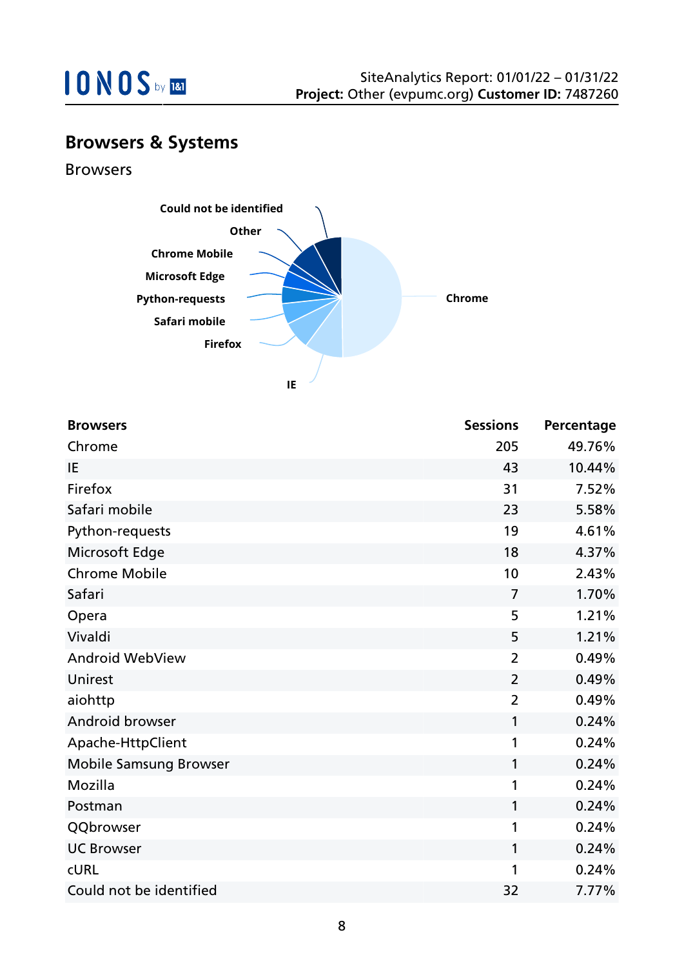

## **Browsers & Systems**

Browsers



| <b>Browsers</b>               | <b>Sessions</b> | Percentage |
|-------------------------------|-----------------|------------|
| Chrome                        | 205             | 49.76%     |
| IE                            | 43              | 10.44%     |
| Firefox                       | 31              | 7.52%      |
| Safari mobile                 | 23              | 5.58%      |
| Python-requests               | 19              | 4.61%      |
| Microsoft Edge                | 18              | 4.37%      |
| <b>Chrome Mobile</b>          | 10              | 2.43%      |
| Safari                        | $\overline{7}$  | 1.70%      |
| Opera                         | 5               | 1.21%      |
| Vivaldi                       | 5               | 1.21%      |
| <b>Android WebView</b>        | $\overline{2}$  | 0.49%      |
| Unirest                       | $\overline{2}$  | 0.49%      |
| aiohttp                       | $\overline{2}$  | 0.49%      |
| Android browser               | 1               | 0.24%      |
| Apache-HttpClient             | 1               | 0.24%      |
| <b>Mobile Samsung Browser</b> | 1               | 0.24%      |
| Mozilla                       | 1               | 0.24%      |
| Postman                       | 1               | 0.24%      |
| QQbrowser                     | 1               | 0.24%      |
| <b>UC Browser</b>             | 1               | 0.24%      |
| <b>CURL</b>                   | 1               | 0.24%      |
| Could not be identified       | 32              | 7.77%      |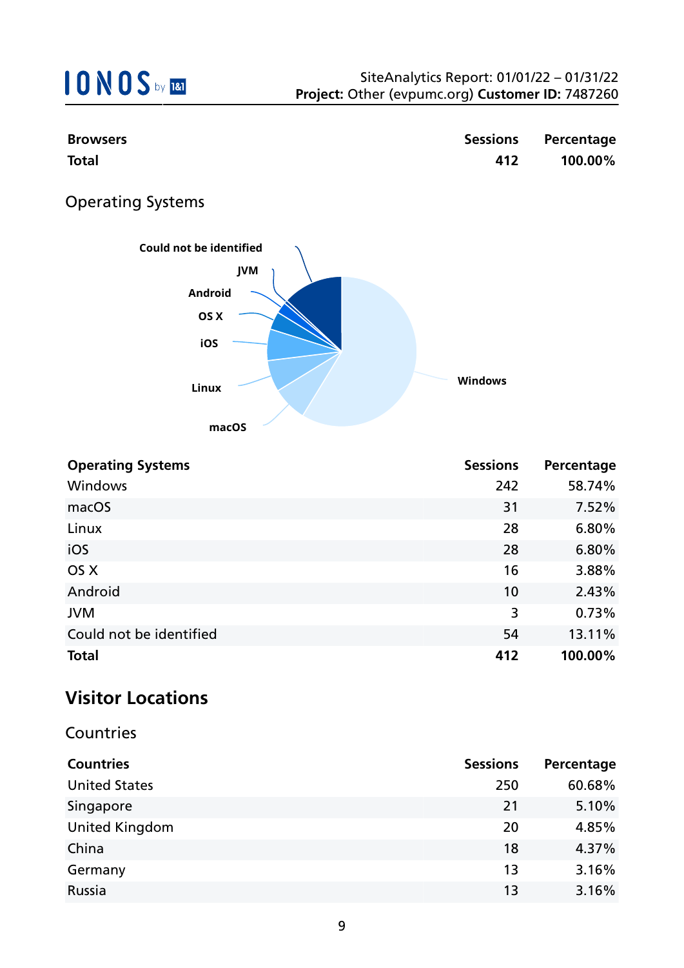| <b>Browsers</b>                       | <b>Sessions</b> | Percentage |
|---------------------------------------|-----------------|------------|
| <b>Total</b>                          | 412             | 100.00%    |
| <b>Operating Systems</b>              |                 |            |
| Could not be identified<br><b>JVM</b> |                 |            |
| Android                               |                 |            |
| OS X                                  |                 |            |
| iOS                                   |                 |            |
| <b>Linux</b>                          | <b>Windows</b>  |            |

**Operating Systems Sessions Percentage** Windows 242 58.74% macOS  $\sim$  7.52% Linux 28 6.80%  $\sim$  28 6.80%  $\overline{O5}$  X 3.88% Android 10 2.43% JVM  $3$  0.73% Could not be identified Could not be identified **Total 412 100.00%**

**macOS**

### **Visitor Locations**

#### **Countries**

| <b>Countries</b>      | <b>Sessions</b> | Percentage |
|-----------------------|-----------------|------------|
| <b>United States</b>  | 250             | 60.68%     |
| Singapore             | 21              | 5.10%      |
| <b>United Kingdom</b> | 20              | 4.85%      |
| China                 | 18              | 4.37%      |
| Germany               | 13              | 3.16%      |
| Russia                | 13              | 3.16%      |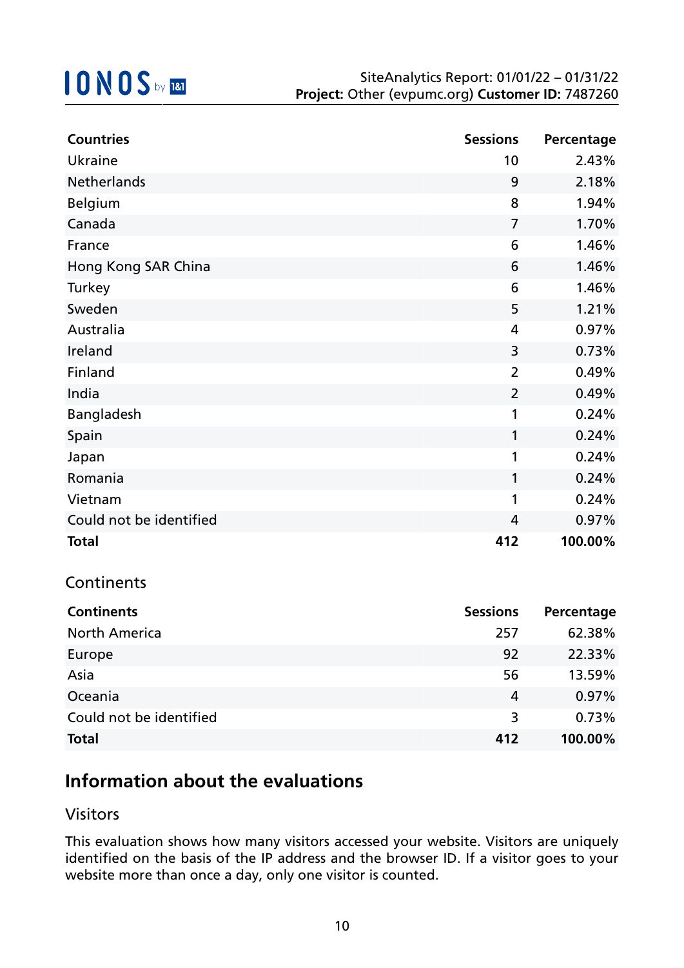| <b>Countries</b>        | <b>Sessions</b> | Percentage |
|-------------------------|-----------------|------------|
| <b>Ukraine</b>          | 10              | 2.43%      |
| <b>Netherlands</b>      | 9               | 2.18%      |
| <b>Belgium</b>          | 8               | 1.94%      |
| Canada                  | $\overline{7}$  | 1.70%      |
| France                  | 6               | 1.46%      |
| Hong Kong SAR China     | 6               | 1.46%      |
| Turkey                  | 6               | 1.46%      |
| Sweden                  | 5               | 1.21%      |
| Australia               | 4               | 0.97%      |
| Ireland                 | 3               | 0.73%      |
| Finland                 | $\overline{2}$  | 0.49%      |
| India                   | $\overline{2}$  | 0.49%      |
| Bangladesh              | 1               | 0.24%      |
| Spain                   | 1               | 0.24%      |
| Japan                   | 1               | 0.24%      |
| Romania                 | $\mathbf{1}$    | 0.24%      |
| Vietnam                 | 1               | 0.24%      |
| Could not be identified | 4               | 0.97%      |
| <b>Total</b>            | 412             | 100.00%    |

#### **Continents**

| <b>Continents</b>       | <b>Sessions</b> | Percentage |
|-------------------------|-----------------|------------|
| <b>North America</b>    | 257             | 62.38%     |
| Europe                  | 92              | 22.33%     |
| Asia                    | 56              | 13.59%     |
| Oceania                 | 4               | 0.97%      |
| Could not be identified | 3               | 0.73%      |
| <b>Total</b>            | 412             | 100.00%    |

## **Information about the evaluations**

#### Visitors

This evaluation shows how many visitors accessed your website. Visitors are uniquely identified on the basis of the IP address and the browser ID. If a visitor goes to your website more than once a day, only one visitor is counted.